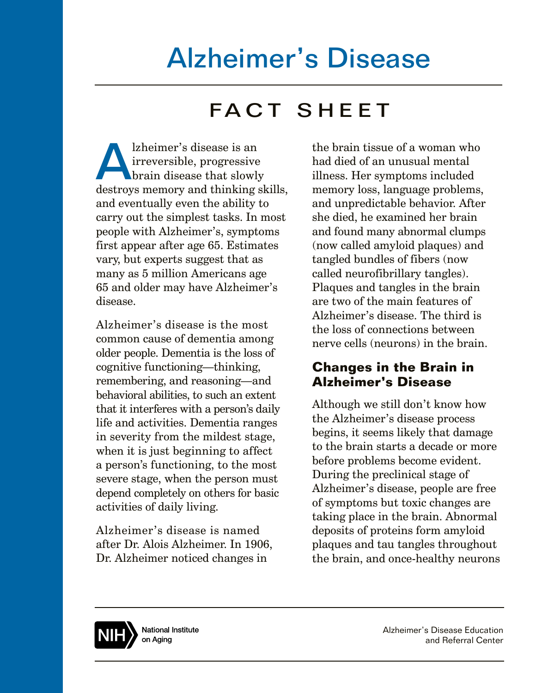# Alzheimer's Disease

## FACT SHEET

Izheimer's disease is an irreversible, progressive<br>brain disease that slowly irreversible, progressive brain disease that slowly destroys memory and thinking skills, and eventually even the ability to carry out the simplest tasks. In most people with Alzheimer's, symptoms first appear after age 65. Estimates vary, but experts suggest that as many as 5 million Americans age 65 and older may have Alzheimer's disease.

Alzheimer's disease is the most common cause of dementia among older people. Dementia is the loss of cognitive functioning—thinking, remembering, and reasoning—and behavioral abilities, to such an extent that it interferes with a person's daily life and activities. Dementia ranges in severity from the mildest stage, when it is just beginning to affect a person's functioning, to the most severe stage, when the person must depend completely on others for basic activities of daily living.

Alzheimer's disease is named after Dr. Alois Alzheimer. In 1906, Dr. Alzheimer noticed changes in

the brain tissue of a woman who had died of an unusual mental illness. Her symptoms included memory loss, language problems, and unpredictable behavior. After she died, he examined her brain and found many abnormal clumps (now called amyloid plaques) and tangled bundles of fibers (now called neurofibrillary tangles). Plaques and tangles in the brain are two of the main features of Alzheimer's disease. The third is the loss of connections between nerve cells (neurons) in the brain.

#### **Changes in the Brain in Alzheimer's Disease**

Although we still don't know how the Alzheimer's disease process begins, it seems likely that damage to the brain starts a decade or more before problems become evident. During the preclinical stage of Alzheimer's disease, people are free of symptoms but toxic changes are taking place in the brain. Abnormal deposits of proteins form amyloid plaques and tau tangles throughout the brain, and once-healthy neurons



National Institute on Aging

Alzheimer's Disease Education and Referral Center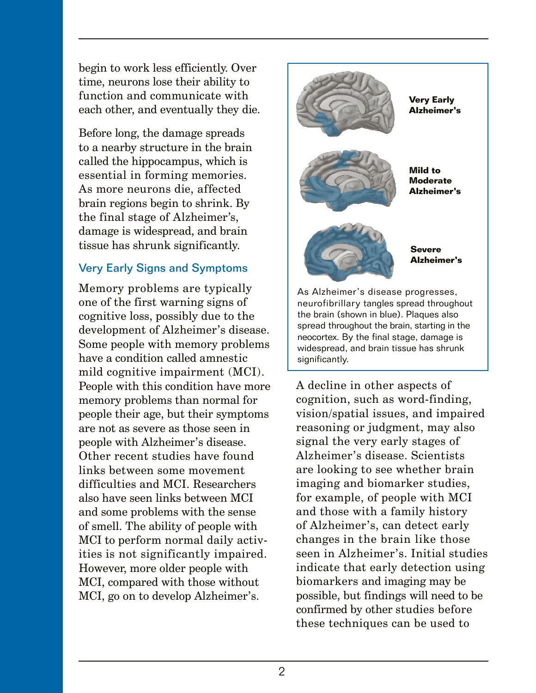begin to work less efficiently. Over time, neurons lose their ability to function and communicate with each other, and eventually they die.

Before long, the damage spreads to a nearby structure in the brain called the hippocampus, which is essential in forming memories. As more neurons die, affected brain regions begin to shrink. By the final stage of Alzheimer's, damage is widespread, and brain tissue has shrunk significantly.

#### Very Early Signs and Symptoms

Memory problems are typically one of the first warning signs of cognitive loss, possibly due to the development of Alzheimer's disease. Some people with memory problems have a condition called amnestic mild cognitive impairment (MCI). People with this condition have more memory problems than normal for people their age, but their symptoms are not as severe as those seen in people with Alzheimer's disease. Other recent studies have found links between some movement difficulties and MCI. Researchers also have seen links between MCI and some problems with the sense of smell. The ability of people with MCI to perform normal daily activities is not significantly impaired. However, more older people with MCI, compared with those without MCI, go on to develop Alzheimer's.



A decline in other aspects of cognition, such as word-finding, vision/spatial issues, and impaired reasoning or judgment, may also signal the very early stages of Alzheimer's disease. Scientists are looking to see whether brain imaging and biomarker studies, for example, of people with MCI and those with a family history of Alzheimer's, can detect early changes in the brain like those seen in Alzheimer's. Initial studies indicate that early detection using biomarkers and imaging may be possible, but findings will need to be confirmed by other studies before these techniques can be used to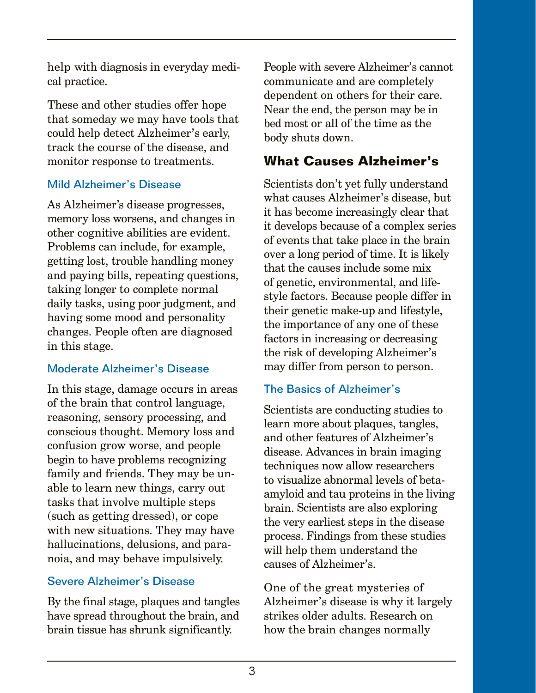help with diagnosis in everyday medical practice.

These and other studies offer hope that someday we may have tools that could help detect Alzheimer's early, track the course of the disease, and monitor response to treatments.

#### Mild Alzheimer's Disease

As Alzheimer's disease progresses, memory loss worsens, and changes in other cognitive abilities are evident. Problems can include, for example, getting lost, trouble handling money and paying bills, repeating questions, taking longer to complete normal daily tasks, using poor judgment, and having some mood and personality changes. People often are diagnosed in this stage.

#### Moderate Alzheimer's Disease

In this stage, damage occurs in areas of the brain that control language, reasoning, sensory processing, and conscious thought. Memory loss and confusion grow worse, and people begin to have problems recognizing family and friends. They may be unable to learn new things, carry out tasks that involve multiple steps (such as getting dressed), or cope with new situations. They may have hallucinations, delusions, and paranoia, and may behave impulsively.

#### Severe Alzheimer's Disease

By the final stage, plaques and tangles have spread throughout the brain, and brain tissue has shrunk significantly.

People with severe Alzheimer's cannot communicate and are completely dependent on others for their care. Near the end, the person may be in bed most or all of the time as the body shuts down.

## **What Causes Alzheimer's**

Scientists don't yet fully understand what causes Alzheimer's disease, but it has become increasingly clear that it develops because of a complex series of events that take place in the brain over a long period of time. It is likely that the causes include some mix of genetic, environmental, and lifestyle factors. Because people differ in their genetic make-up and lifestyle, the importance of any one of these factors in increasing or decreasing the risk of developing Alzheimer's may differ from person to person.

#### The Basics of Alzheimer's

Scientists are conducting studies to learn more about plaques, tangles, and other features of Alzheimer's disease. Advances in brain imaging techniques now allow researchers to visualize abnormal levels of betaamyloid and tau proteins in the living brain. Scientists are also exploring the very earliest steps in the disease process. Findings from these studies will help them understand the causes of Alzheimer's.

One of the great mysteries of Alzheimer's disease is why it largely strikes older adults. Research on how the brain changes normally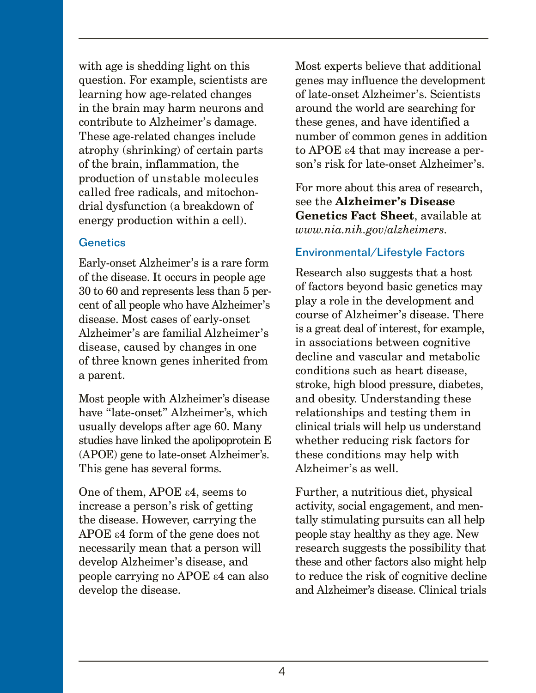with age is shedding light on this question. For example, scientists are learning how age-related changes in the brain may harm neurons and contribute to Alzheimer's damage. These age-related changes include atrophy (shrinking) of certain parts of the brain, inflammation, the production of unstable molecules called free radicals, and mitochondrial dysfunction (a breakdown of energy production within a cell).

#### **Genetics**

Early-onset Alzheimer's is a rare form of the disease. It occurs in people age 30 to 60 and represents less than 5 percent of all people who have Alzheimer's disease. Most cases of early-onset Alzheimer's are familial Alzheimer's disease, caused by changes in one of three known genes inherited from a parent.

Most people with Alzheimer's disease have "late-onset" Alzheimer's, which usually develops after age 60. Many studies have linked the apolipoprotein E (APOE) gene to late-onset Alzheimer's. This gene has several forms.

One of them, APOE ε4, seems to increase a person's risk of getting the disease. However, carrying the APOE ε4 form of the gene does not necessarily mean that a person will develop Alzheimer's disease, and people carrying no APOE ε4 can also develop the disease.

Most experts believe that additional genes may influence the development of late-onset Alzheimer's. Scientists around the world are searching for these genes, and have identified a number of common genes in addition to APOE ε4 that may increase a person's risk for late-onset Alzheimer's.

For more about this area of research, see the **Alzheimer's Disease Genetics Fact Sheet**, available at *www.nia.nih.gov/alzheimers.*

#### Environmental/Lifestyle Factors

Research also suggests that a host of factors beyond basic genetics may play a role in the development and course of Alzheimer's disease. There is a great deal of interest, for example, in associations between cognitive decline and vascular and metabolic conditions such as heart disease, stroke, high blood pressure, diabetes, and obesity. Understanding these relationships and testing them in clinical trials will help us understand whether reducing risk factors for these conditions may help with Alzheimer's as well.

Further, a nutritious diet, physical activity, social engagement, and mentally stimulating pursuits can all help people stay healthy as they age. New research suggests the possibility that these and other factors also might help to reduce the risk of cognitive decline and Alzheimer's disease. Clinical trials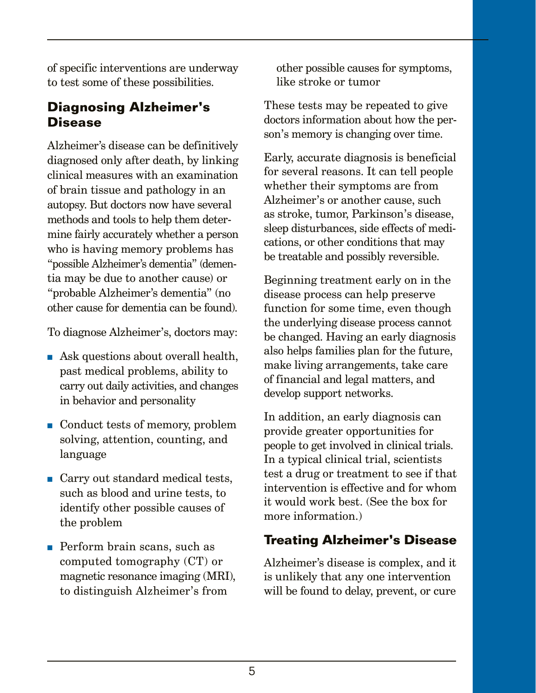of specific interventions are underway to test some of these possibilities.

## **Diagnosing Alzheimer's Disease**

Alzheimer's disease can be definitively diagnosed only after death, by linking clinical measures with an examination of brain tissue and pathology in an autopsy. But doctors now have several methods and tools to help them determine fairly accurately whether a person who is having memory problems has "possible Alzheimer's dementia" (dementia may be due to another cause) or "probable Alzheimer's dementia" (no other cause for dementia can be found).

To diagnose Alzheimer's, doctors may:

- **n** Ask questions about overall health, past medical problems, ability to carry out daily activities, and changes in behavior and personality
- Conduct tests of memory, problem solving, attention, counting, and language
- Carry out standard medical tests, such as blood and urine tests, to identify other possible causes of the problem
- $\blacksquare$  Perform brain scans, such as computed tomography (CT) or magnetic resonance imaging (MRI), to distinguish Alzheimer's from

other possible causes for symptoms, like stroke or tumor

These tests may be repeated to give doctors information about how the person's memory is changing over time.

Early, accurate diagnosis is beneficial for several reasons. It can tell people whether their symptoms are from Alzheimer's or another cause, such as stroke, tumor, Parkinson's disease, sleep disturbances, side effects of medications, or other conditions that may be treatable and possibly reversible.

Beginning treatment early on in the disease process can help preserve function for some time, even though the underlying disease process cannot be changed. Having an early diagnosis also helps families plan for the future, make living arrangements, take care of financial and legal matters, and develop support networks.

In addition, an early diagnosis can provide greater opportunities for people to get involved in clinical trials. In a typical clinical trial, scientists test a drug or treatment to see if that intervention is effective and for whom it would work best. (See the box for more information.)

## **Treating Alzheimer's Disease**

Alzheimer's disease is complex, and it is unlikely that any one intervention will be found to delay, prevent, or cure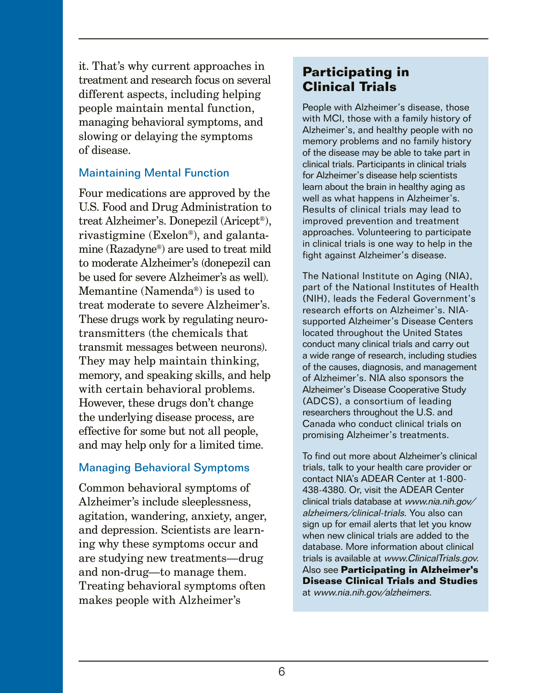it. That's why current approaches in treatment and research focus on several different aspects, including helping people maintain mental function, managing behavioral symptoms, and slowing or delaying the symptoms of disease.

#### Maintaining Mental Function

Four medications are approved by the U.S. Food and Drug Administration to treat Alzheimer's. Donepezil (Aricept®), rivastigmine (Exelon®), and galantamine (Razadyne®) are used to treat mild to moderate Alzheimer's (donepezil can be used for severe Alzheimer's as well). Memantine (Namenda®) is used to treat moderate to severe Alzheimer's. These drugs work by regulating neurotransmitters (the chemicals that transmit messages between neurons). They may help maintain thinking, memory, and speaking skills, and help with certain behavioral problems. However, these drugs don't change the underlying disease process, are effective for some but not all people, and may help only for a limited time.

#### Managing Behavioral Symptoms

Common behavioral symptoms of Alzheimer's include sleeplessness, agitation, wandering, anxiety, anger, and depression. Scientists are learning why these symptoms occur and are studying new treatments—drug and non-drug—to manage them. Treating behavioral symptoms often makes people with Alzheimer's

## **Participating in Clinical Trials**

People with Alzheimer's disease, those with MCI, those with a family history of Alzheimer's, and healthy people with no memory problems and no family history of the disease may be able to take part in clinical trials. Participants in clinical trials for Alzheimer's disease help scientists learn about the brain in healthy aging as well as what happens in Alzheimer's. Results of clinical trials may lead to improved prevention and treatment approaches. Volunteering to participate in clinical trials is one way to help in the fight against Alzheimer's disease.

The National Institute on Aging (NIA), part of the National Institutes of Health (NIH), leads the Federal Government's research efforts on Alzheimer's. NIAsupported Alzheimer's Disease Centers located throughout the United States conduct many clinical trials and carry out a wide range of research, including studies of the causes, diagnosis, and management of Alzheimer's. NIA also sponsors the Alzheimer's Disease Cooperative Study (ADCS), a consortium of leading researchers throughout the U.S. and Canada who conduct clinical trials on promising Alzheimer's treatments.

To find out more about Alzheimer's clinical trials, talk to your health care provider or contact NIA's ADEAR Center at 1-800- 438-4380. Or, visit the ADEAR Center clinical trials database at www.nia.nih.gov/ alzheimers/clinical-trials. You also can sign up for email alerts that let you know when new clinical trials are added to the database. More information about clinical trials is available at www.ClinicalTrials.gov. Also see **Participating in Alzheimer's Disease Clinical Trials and Studies** at www.nia.nih.gov/alzheimers.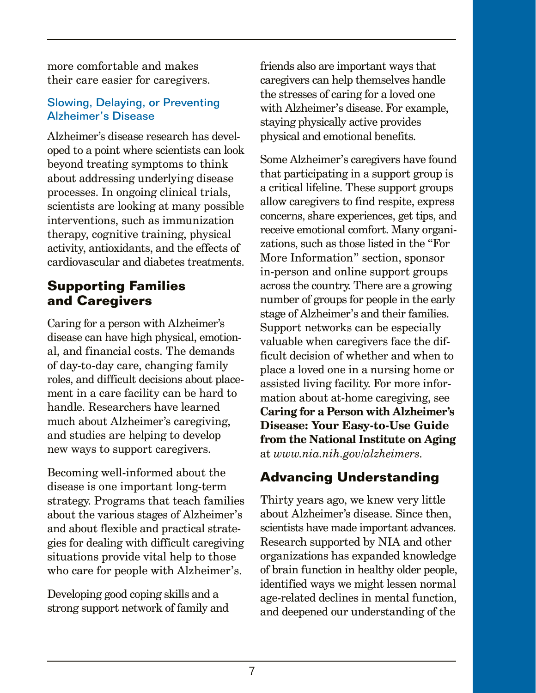more comfortable and makes their care easier for caregivers.

#### Slowing, Delaying, or Preventing Alzheimer's Disease

Alzheimer's disease research has developed to a point where scientists can look beyond treating symptoms to think about addressing underlying disease processes. In ongoing clinical trials, scientists are looking at many possible interventions, such as immunization therapy, cognitive training, physical activity, antioxidants, and the effects of cardiovascular and diabetes treatments.

## **Supporting Families and Caregivers**

Caring for a person with Alzheimer's disease can have high physical, emotional, and financial costs. The demands of day-to-day care, changing family roles, and difficult decisions about placement in a care facility can be hard to handle. Researchers have learned much about Alzheimer's caregiving, and studies are helping to develop new ways to support caregivers.

Becoming well-informed about the disease is one important long-term strategy. Programs that teach families about the various stages of Alzheimer's and about flexible and practical strategies for dealing with difficult caregiving situations provide vital help to those who care for people with Alzheimer's.

Developing good coping skills and a strong support network of family and friends also are important ways that caregivers can help themselves handle the stresses of caring for a loved one with Alzheimer's disease. For example, staying physically active provides physical and emotional benefits.

Some Alzheimer's caregivers have found that participating in a support group is a critical lifeline. These support groups allow caregivers to find respite, express concerns, share experiences, get tips, and receive emotional comfort. Many organizations, such as those listed in the "For More Information" section, sponsor in-person and online support groups across the country. There are a growing number of groups for people in the early stage of Alzheimer's and their families. Support networks can be especially valuable when caregivers face the difficult decision of whether and when to place a loved one in a nursing home or assisted living facility. For more information about at-home caregiving, see **Caring for a Person with Alzheimer's Disease: Your Easy-to-Use Guide from the National Institute on Aging** at *www.nia.nih.gov/alzheimers.* 

## **Advancing Understanding**

Thirty years ago, we knew very little about Alzheimer's disease. Since then, scientists have made important advances. Research supported by NIA and other organizations has expanded knowledge of brain function in healthy older people, identified ways we might lessen normal age-related declines in mental function, and deepened our understanding of the